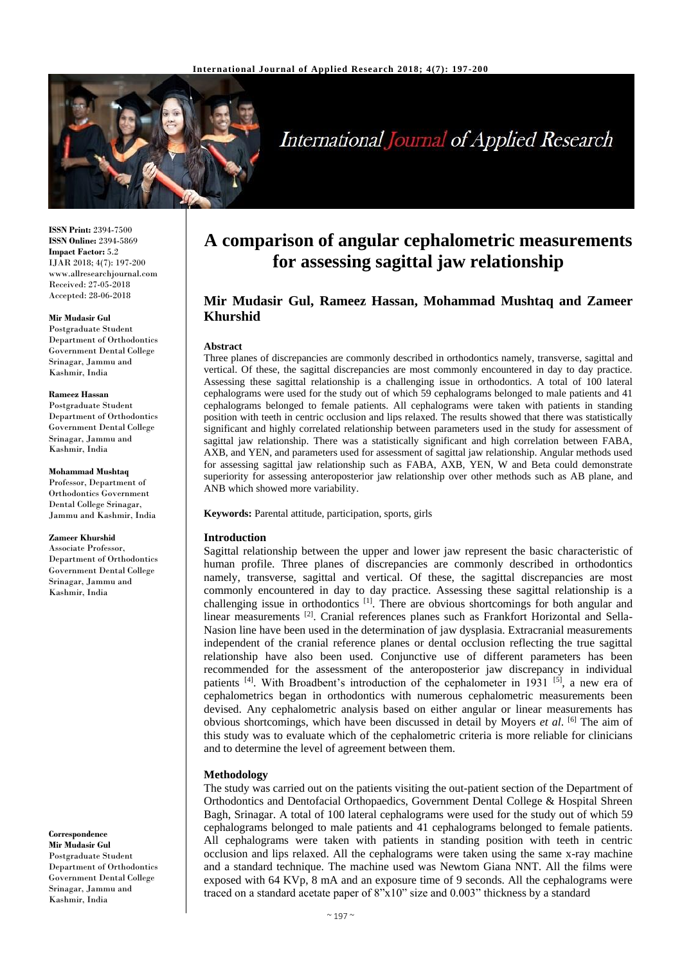

# **International Journal of Applied Research**

**ISSN Print:** 2394-7500 **ISSN Online:** 2394-5869 **Impact Factor:** 5.2 IJAR 2018; 4(7): 197-200 www.allresearchjournal.com Received: 27-05-2018 Accepted: 28-06-2018

#### **Mir Mudasir Gul**

Postgraduate Student Department of Orthodontics Government Dental College Srinagar, Jammu and Kashmir, India

#### **Rameez Hassan**

Postgraduate Student Department of Orthodontics Government Dental College Srinagar, Jammu and Kashmir, India

#### **Mohammad Mushtaq**

Professor, Department of Orthodontics Government Dental College Srinagar, Jammu and Kashmir, India

#### **Zameer Khurshid**

Associate Professor, Department of Orthodontics Government Dental College Srinagar, Jammu and Kashmir, India

**Correspondence Mir Mudasir Gul** Postgraduate Student Department of Orthodontics Government Dental College Srinagar, Jammu and Kashmir, India

## **A comparison of angular cephalometric measurements for assessing sagittal jaw relationship**

## **Mir Mudasir Gul, Rameez Hassan, Mohammad Mushtaq and Zameer Khurshid**

#### **Abstract**

Three planes of discrepancies are commonly described in orthodontics namely, transverse, sagittal and vertical. Of these, the sagittal discrepancies are most commonly encountered in day to day practice. Assessing these sagittal relationship is a challenging issue in orthodontics. A total of 100 lateral cephalograms were used for the study out of which 59 cephalograms belonged to male patients and 41 cephalograms belonged to female patients. All cephalograms were taken with patients in standing position with teeth in centric occlusion and lips relaxed. The results showed that there was statistically significant and highly correlated relationship between parameters used in the study for assessment of sagittal jaw relationship. There was a statistically significant and high correlation between FABA, AXB, and YEN, and parameters used for assessment of sagittal jaw relationship. Angular methods used for assessing sagittal jaw relationship such as FABA, AXB, YEN, W and Beta could demonstrate superiority for assessing anteroposterior jaw relationship over other methods such as AB plane, and ANB which showed more variability.

**Keywords:** Parental attitude, participation, sports, girls

## **Introduction**

Sagittal relationship between the upper and lower jaw represent the basic characteristic of human profile. Three planes of discrepancies are commonly described in orthodontics namely, transverse, sagittal and vertical. Of these, the sagittal discrepancies are most commonly encountered in day to day practice. Assessing these sagittal relationship is a challenging issue in orthodontics<sup>[1]</sup>. There are obvious shortcomings for both angular and linear measurements <a>[2]</a>. Cranial references planes such as Frankfort Horizontal and Sella-Nasion line have been used in the determination of jaw dysplasia. Extracranial measurements independent of the cranial reference planes or dental occlusion reflecting the true sagittal relationship have also been used. Conjunctive use of different parameters has been recommended for the assessment of the anteroposterior jaw discrepancy in individual patients <sup>[4]</sup>. With Broadbent's introduction of the cephalometer in 1931 <sup>[5]</sup>, a new era of cephalometrics began in orthodontics with numerous cephalometric measurements been devised. Any cephalometric analysis based on either angular or linear measurements has obvious shortcomings, which have been discussed in detail by Moyers *et al*. [6] The aim of this study was to evaluate which of the cephalometric criteria is more reliable for clinicians and to determine the level of agreement between them.

## **Methodology**

The study was carried out on the patients visiting the out-patient section of the Department of Orthodontics and Dentofacial Orthopaedics, Government Dental College & Hospital Shreen Bagh, Srinagar. A total of 100 lateral cephalograms were used for the study out of which 59 cephalograms belonged to male patients and 41 cephalograms belonged to female patients. All cephalograms were taken with patients in standing position with teeth in centric occlusion and lips relaxed. All the cephalograms were taken using the same x-ray machine and a standard technique. The machine used was Newtom Giana NNT. All the films were exposed with 64 KVp, 8 mA and an exposure time of 9 seconds. All the cephalograms were traced on a standard acetate paper of 8"x10" size and 0.003" thickness by a standard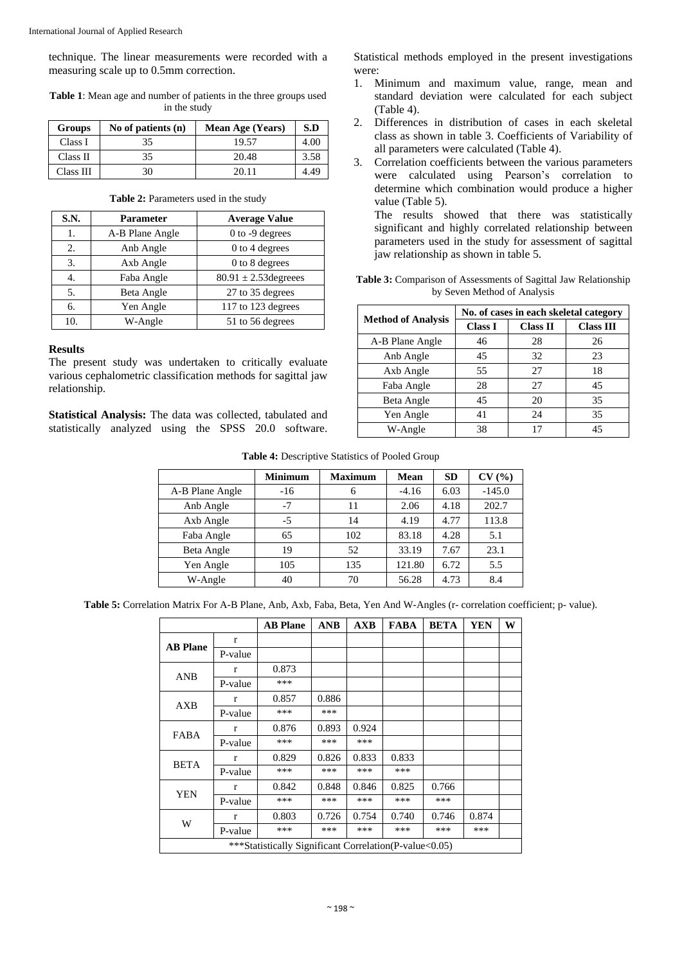technique. The linear measurements were recorded with a measuring scale up to 0.5mm correction.

**Table 1**: Mean age and number of patients in the three groups used in the study

| <b>Groups</b> | No of patients $(n)$ | <b>Mean Age (Years)</b> | S.D  |
|---------------|----------------------|-------------------------|------|
| Class I       | 35                   | 19.57                   | 4.00 |
| Class II      | 35                   | 20.48                   | 3.58 |
| Class III     | 30                   | 20 11                   | 4.49 |

#### Table 2: Parameters used in the study

| S.N. | <b>Parameter</b> | <b>Average Value</b>      |
|------|------------------|---------------------------|
| 1.   | A-B Plane Angle  | 0 to -9 degrees           |
| 2.   | Anb Angle        | 0 to 4 degrees            |
| 3.   | Axb Angle        | 0 to 8 degrees            |
| 4.   | Faba Angle       | $80.91 \pm 2.53$ degreees |
| 5.   | Beta Angle       | 27 to 35 degrees          |
| б.   | Yen Angle        | 117 to 123 degrees        |
| 10.  | W-Angle          | 51 to 56 degrees          |

## **Results**

The present study was undertaken to critically evaluate various cephalometric classification methods for sagittal jaw relationship.

**Statistical Analysis:** The data was collected, tabulated and statistically analyzed using the SPSS 20.0 software. Statistical methods employed in the present investigations were:

- 1. Minimum and maximum value, range, mean and standard deviation were calculated for each subject (Table 4).
- 2. Differences in distribution of cases in each skeletal class as shown in table 3. Coefficients of Variability of all parameters were calculated (Table 4).
- 3. Correlation coefficients between the various parameters were calculated using Pearson's correlation to determine which combination would produce a higher value (Table 5).

The results showed that there was statistically significant and highly correlated relationship between parameters used in the study for assessment of sagittal jaw relationship as shown in table 5.

| <b>Table 3:</b> Comparison of Assessments of Sagittal Jaw Relationship |
|------------------------------------------------------------------------|
| by Seven Method of Analysis                                            |

| <b>Method of Analysis</b> | No. of cases in each skeletal category |                 |                  |  |  |
|---------------------------|----------------------------------------|-----------------|------------------|--|--|
|                           | <b>Class I</b>                         | <b>Class II</b> | <b>Class III</b> |  |  |
| A-B Plane Angle           | 46                                     | 28              | 26               |  |  |
| Anb Angle                 | 45                                     | 32              | 23               |  |  |
| Axb Angle                 | 55                                     | 27              | 18               |  |  |
| Faba Angle                | 28                                     | 27              | 45               |  |  |
| Beta Angle                | 45                                     | 20              | 35               |  |  |
| Yen Angle                 | 41                                     | 24              | 35               |  |  |
| W-Angle                   | 38                                     | 17              | 45               |  |  |

| Table 4: Descriptive Statistics of Pooled Group |
|-------------------------------------------------|
|-------------------------------------------------|

|                 | <b>Minimum</b> | <b>Maximum</b> | Mean    | <b>SD</b> | CV(%)    |
|-----------------|----------------|----------------|---------|-----------|----------|
| A-B Plane Angle | $-16$          | 6              | $-4.16$ | 6.03      | $-145.0$ |
| Anb Angle       | -7             | 11             | 2.06    | 4.18      | 202.7    |
| Axb Angle       | $-5$           | 14             | 4.19    | 4.77      | 113.8    |
| Faba Angle      | 65             | 102            | 83.18   | 4.28      | 5.1      |
| Beta Angle      | 19             | 52             | 33.19   | 7.67      | 23.1     |
| Yen Angle       | 105            | 135            | 121.80  | 6.72      | 5.5      |
| W-Angle         | 40             | 70             | 56.28   | 4.73      | 8.4      |

**Table 5:** Correlation Matrix For A-B Plane, Anb, Axb, Faba, Beta, Yen And W-Angles (r- correlation coefficient; p- value).

|                                                        |         | <b>AB Plane</b> | <b>ANB</b> | AXB   | <b>FABA</b> | <b>BETA</b> | <b>YEN</b> | W |
|--------------------------------------------------------|---------|-----------------|------------|-------|-------------|-------------|------------|---|
| <b>AB Plane</b>                                        | r       |                 |            |       |             |             |            |   |
|                                                        | P-value |                 |            |       |             |             |            |   |
| <b>ANB</b>                                             | r       | 0.873           |            |       |             |             |            |   |
|                                                        | P-value | ***             |            |       |             |             |            |   |
| AXB                                                    | r       | 0.857           | 0.886      |       |             |             |            |   |
|                                                        | P-value | ***             | ***        |       |             |             |            |   |
| FABA                                                   | r       | 0.876           | 0.893      | 0.924 |             |             |            |   |
|                                                        | P-value | ***             | ***        | ***   |             |             |            |   |
| <b>BETA</b>                                            | r       | 0.829           | 0.826      | 0.833 | 0.833       |             |            |   |
|                                                        | P-value | ***             | ***        | ***   | ***         |             |            |   |
| YEN                                                    | r       | 0.842           | 0.848      | 0.846 | 0.825       | 0.766       |            |   |
|                                                        | P-value | ***             | ***        | ***   | ***         | ***         |            |   |
| W                                                      | r       | 0.803           | 0.726      | 0.754 | 0.740       | 0.746       | 0.874      |   |
|                                                        | P-value | ***             | ***        | ***   | ***         | ***         | ***        |   |
| ***Statistically Significant Correlation(P-value<0.05) |         |                 |            |       |             |             |            |   |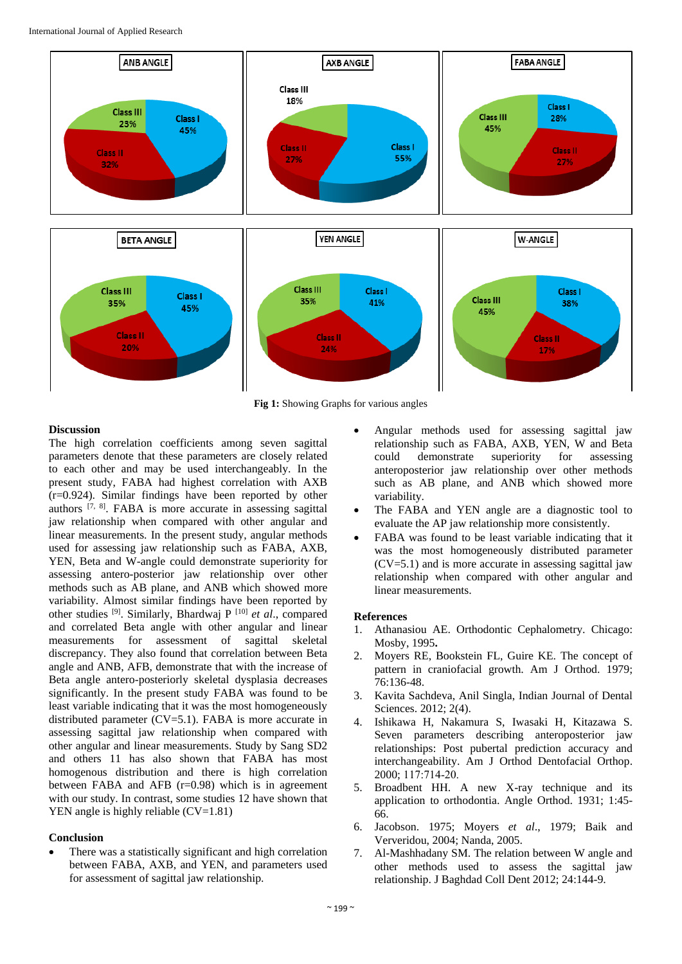

**Fig 1:** Showing Graphs for various angles

## **Discussion**

The high correlation coefficients among seven sagittal parameters denote that these parameters are closely related to each other and may be used interchangeably. In the present study, FABA had highest correlation with AXB (r=0.924). Similar findings have been reported by other authors <sup>[7, 8]</sup>. FABA is more accurate in assessing sagittal jaw relationship when compared with other angular and linear measurements. In the present study, angular methods used for assessing jaw relationship such as FABA, AXB, YEN, Beta and W-angle could demonstrate superiority for assessing antero-posterior jaw relationship over other methods such as AB plane, and ANB which showed more variability. Almost similar findings have been reported by other studies [9] . Similarly, Bhardwaj P [10] *et al*., compared and correlated Beta angle with other angular and linear measurements for assessment of sagittal skeletal discrepancy. They also found that correlation between Beta angle and ANB, AFB, demonstrate that with the increase of Beta angle antero-posteriorly skeletal dysplasia decreases significantly. In the present study FABA was found to be least variable indicating that it was the most homogeneously distributed parameter (CV=5.1). FABA is more accurate in assessing sagittal jaw relationship when compared with other angular and linear measurements. Study by Sang SD2 and others 11 has also shown that FABA has most homogenous distribution and there is high correlation between FABA and AFB (r=0.98) which is in agreement with our study. In contrast, some studies 12 have shown that YEN angle is highly reliable (CV=1.81)

## **Conclusion**

 There was a statistically significant and high correlation between FABA, AXB, and YEN, and parameters used for assessment of sagittal jaw relationship.

- Angular methods used for assessing sagittal jaw relationship such as FABA, AXB, YEN, W and Beta could demonstrate superiority for assessing anteroposterior jaw relationship over other methods such as AB plane, and ANB which showed more variability.
- The FABA and YEN angle are a diagnostic tool to evaluate the AP jaw relationship more consistently.
- FABA was found to be least variable indicating that it was the most homogeneously distributed parameter  $(CV=5.1)$  and is more accurate in assessing sagittal jaw relationship when compared with other angular and linear measurements.

## **References**

- 1. Athanasiou AE. Orthodontic Cephalometry. Chicago: Mosby, 1995**.**
- 2. Moyers RE, Bookstein FL, Guire KE. The concept of pattern in craniofacial growth. Am J Orthod. 1979; 76:136-48.
- 3. Kavita Sachdeva, Anil Singla, Indian Journal of Dental Sciences. 2012; 2(4).
- 4. Ishikawa H, Nakamura S, Iwasaki H, Kitazawa S. Seven parameters describing anteroposterior jaw relationships: Post pubertal prediction accuracy and interchangeability. Am J Orthod Dentofacial Orthop. 2000; 117:714‑20.
- 5. Broadbent HH. A new X-ray technique and its application to orthodontia. Angle Orthod. 1931; 1:45- 66.
- 6. Jacobson. 1975; Moyers *et al*., 1979; Baik and Ververidou, 2004; Nanda, 2005.
- 7. Al-Mashhadany SM. The relation between W angle and other methods used to assess the sagittal jaw relationship. J Baghdad Coll Dent 2012; 24:144-9.